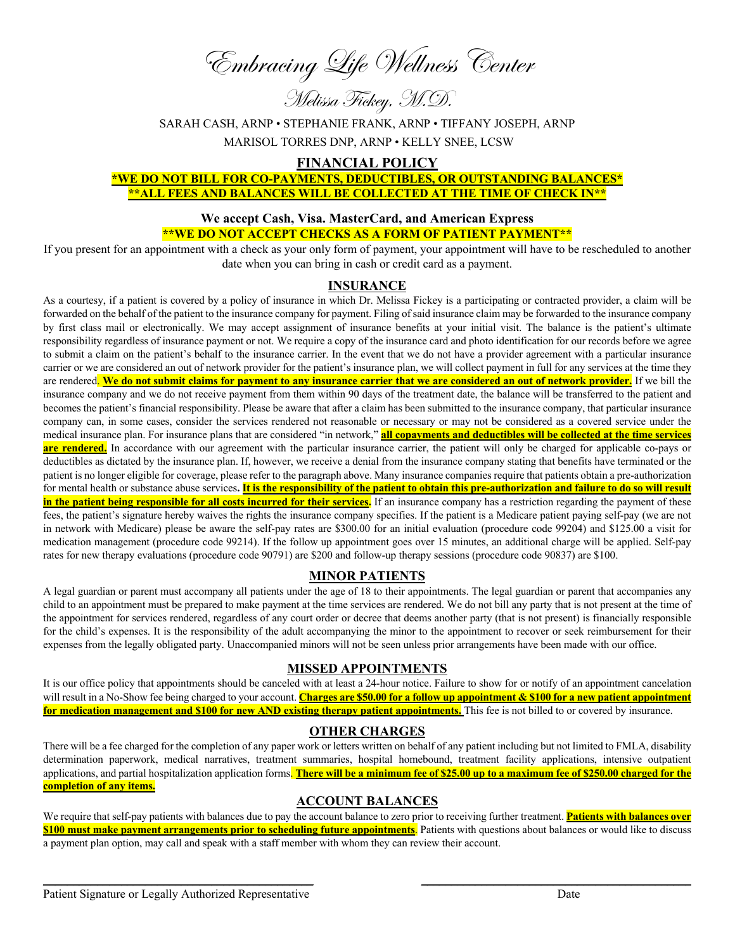Embracing Life Wellness Center

Melissa Fickey, M.D.

SARAH CASH, ARNP • STEPHANIE FRANK, ARNP • TIFFANY JOSEPH, ARNP

MARISOL TORRES DNP, ARNP • KELLY SNEE, LCSW

## **FINANCIAL POLICY**

## **\*WE DO NOT BILL FOR CO-PAYMENTS, DEDUCTIBLES, OR OUTSTANDING BALANCES\* \*\*ALL FEES AND BALANCES WILL BE COLLECTED AT THE TIME OF CHECK IN\*\***

## **We accept Cash, Visa. MasterCard, and American Express \*\*WE DO NOT ACCEPT CHECKS AS A FORM OF PATIENT PAYMENT\*\***

If you present for an appointment with a check as your only form of payment, your appointment will have to be rescheduled to another date when you can bring in cash or credit card as a payment.

## **INSURANCE**

As a courtesy, if a patient is covered by a policy of insurance in which Dr. Melissa Fickey is a participating or contracted provider, a claim will be forwarded on the behalf of the patient to the insurance company for payment. Filing of said insurance claim may be forwarded to the insurance company by first class mail or electronically. We may accept assignment of insurance benefits at your initial visit. The balance is the patient's ultimate responsibility regardless of insurance payment or not. We require a copy of the insurance card and photo identification for our records before we agree to submit a claim on the patient's behalf to the insurance carrier. In the event that we do not have a provider agreement with a particular insurance carrier or we are considered an out of network provider for the patient's insurance plan, we will collect payment in full for any services at the time they are rendered. We do not submit claims for payment to any insurance carrier that we are considered an out of network provider.</u> If we bill the insurance company and we do not receive payment from them within 90 days of the treatment date, the balance will be transferred to the patient and becomes the patient's financial responsibility. Please be aware that after a claim has been submitted to the insurance company, that particular insurance company can, in some cases, consider the services rendered not reasonable or necessary or may not be considered as a covered service under the medical insurance plan. For insurance plans that are considered "in network," **all copayments and deductibles will be collected at the time services are rendered.** In accordance with our agreement with the particular insurance carrier, the patient will only be charged for applicable co-pays or deductibles as dictated by the insurance plan. If, however, we receive a denial from the insurance company stating that benefits have terminated or the patient is no longer eligible for coverage, please refer to the paragraph above. Many insurance companies require that patients obtain a pre-authorization for mental health or substance abuse services. It is the responsibility of the patient to obtain this pre-authorization and failure to do so will result **in the patient being responsible for all costs incurred for their services.** If an insurance company has a restriction regarding the payment of these fees, the patient's signature hereby waives the rights the insurance company specifies. If the patient is a Medicare patient paying self-pay (we are not in network with Medicare) please be aware the self-pay rates are \$300.00 for an initial evaluation (procedure code 99204) and \$125.00 a visit for medication management (procedure code 99214). If the follow up appointment goes over 15 minutes, an additional charge will be applied. Self-pay rates for new therapy evaluations (procedure code 90791) are \$200 and follow-up therapy sessions (procedure code 90837) are \$100.

# **MINOR PATIENTS**

A legal guardian or parent must accompany all patients under the age of 18 to their appointments. The legal guardian or parent that accompanies any child to an appointment must be prepared to make payment at the time services are rendered. We do not bill any party that is not present at the time of the appointment for services rendered, regardless of any court order or decree that deems another party (that is not present) is financially responsible for the child's expenses. It is the responsibility of the adult accompanying the minor to the appointment to recover or seek reimbursement for their expenses from the legally obligated party. Unaccompanied minors will not be seen unless prior arrangements have been made with our office.

#### **MISSED APPOINTMENTS**

It is our office policy that appointments should be canceled with at least a 24-hour notice. Failure to show for or notify of an appointment cancelation will result in a No-Show fee being charged to your account. **Charges are \$50.00 for a follow up appointment & \$100 for a new patient appointment for medication management and \$100 for new AND existing therapy patient appointments.** This fee is not billed to or covered by insurance.

# **OTHER CHARGES**

There will be a fee charged for the completion of any paper work or letters written on behalf of any patient including but not limited to FMLA, disability determination paperwork, medical narratives, treatment summaries, hospital homebound, treatment facility applications, intensive outpatient applications, and partial hospitalization application forms. **There will be a minimum fee of \$25.00 up to a maximum fee of \$250.00 charged for the completion of any items.**

## **ACCOUNT BALANCES**

We require that self-pay patients with balances due to pay the account balance to zero prior to receiving further treatment. **Patients with balances over \$100 must make payment arrangements prior to scheduling future appointments**. Patients with questions about balances or would like to discuss a payment plan option, may call and speak with a staff member with whom they can review their account.

\_\_\_\_\_\_\_\_\_\_\_\_\_\_\_\_\_\_\_\_\_\_\_\_\_\_\_\_\_\_\_\_\_\_\_\_\_\_\_\_\_\_\_\_\_ \_\_\_\_\_\_\_\_\_\_\_\_\_\_\_\_\_\_\_\_\_\_\_\_\_\_\_\_\_\_\_\_\_\_\_\_\_\_\_\_\_\_\_\_\_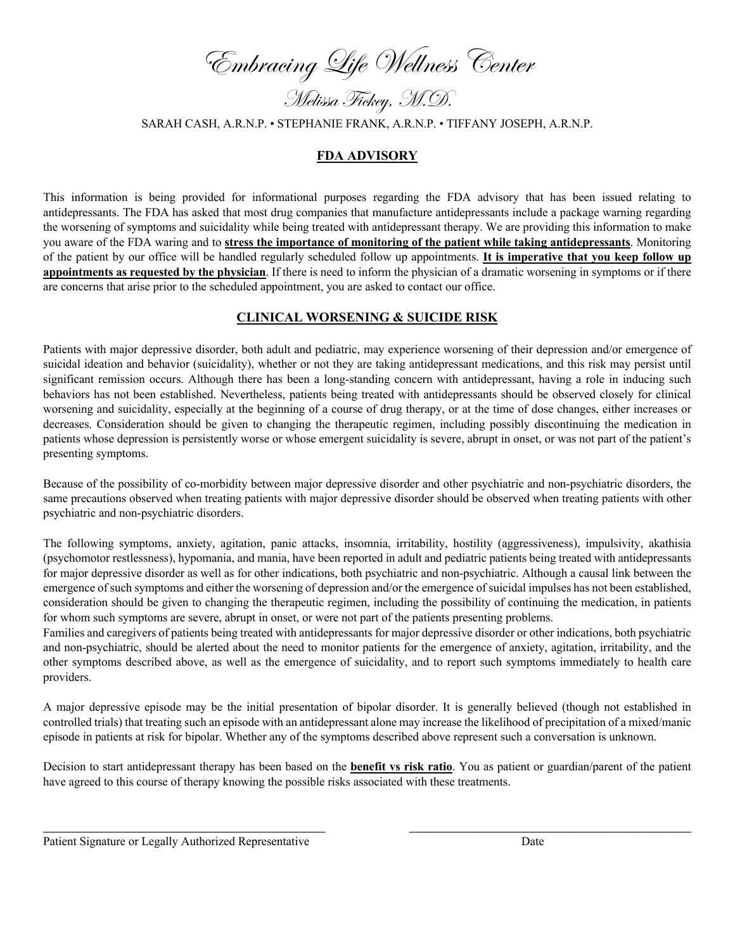Embracing Life Wellness Center

Melissa Fickey, M.D.

SARAH CASH, A.R.N.P. • STEPHANIE FRANK, A.R.N.P. • TIFFANY JOSEPH, A.R.N.P.

## **FDA ADVISORY**

This information is being provided for informational purposes regarding the FDA advisory that has been issued relating to antidepressants. The FDA has asked that most drug companies that manufacture antidepressants include a package warning regarding the worsening of symptoms and suicidality while being treated with antidepressant therapy. We are providing this information to make you aware of the FDA waring and to **stress the importance of monitoring of the patient while taking antidepressants**. Monitoring of the patient by our office will be handled regularly scheduled follow up appointments. **It is imperative that you keep follow up appointments as requested by the physician**. If there is need to inform the physician of a dramatic worsening in symptoms or if there are concerns that arise prior to the scheduled appointment, you are asked to contact our office.

#### **CLINICAL WORSENING & SUICIDE RISK**

Patients with major depressive disorder, both adult and pediatric, may experience worsening of their depression and/or emergence of suicidal ideation and behavior (suicidality), whether or not they are taking antidepressant medications, and this risk may persist until significant remission occurs. Although there has been a long-standing concern with antidepressant, having a role in inducing such behaviors has not been established. Nevertheless, patients being treated with antidepressants should be observed closely for clinical worsening and suicidality, especially at the beginning of a course of drug therapy, or at the time of dose changes, either increases or decreases. Consideration should be given to changing the therapeutic regimen, including possibly discontinuing the medication in patients whose depression is persistently worse or whose emergent suicidality is severe, abrupt in onset, or was not part of the patient's presenting symptoms.

Because of the possibility of co-morbidity between major depressive disorder and other psychiatric and non-psychiatric disorders, the same precautions observed when treating patients with major depressive disorder should be observed when treating patients with other psychiatric and non-psychiatric disorders.

The following symptoms, anxiety, agitation, panic attacks, insomnia, irritability, hostility (aggressiveness), impulsivity, akathisia (psychomotor restlessness), hypomania, and mania, have been reported in adult and pediatric patients being treated with antidepressants for major depressive disorder as well as for other indications, both psychiatric and non-psychiatric. Although a causal link between the emergence of such symptoms and either the worsening of depression and/or the emergence of suicidal impulses has not been established, consideration should be given to changing the therapeutic regimen, including the possibility of continuing the medication, in patients for whom such symptoms are severe, abrupt in onset, or were not part of the patients presenting problems.

Families and caregivers of patients being treated with antidepressants for major depressive disorder or other indications, both psychiatric and non-psychiatric, should be alerted about the need to monitor patients for the emergence of anxiety, agitation, irritability, and the other symptoms described above, as well as the emergence of suicidality, and to report such symptoms immediately to health care providers.

A major depressive episode may be the initial presentation of bipolar disorder. It is generally believed (though not established in controlled trials) that treating such an episode with an antidepressant alone may increase the likelihood of precipitation of a mixed/manic episode in patients at risk for bipolar. Whether any of the symptoms described above represent such a conversation is unknown.

Decision to start antidepressant therapy has been based on the **benefit vs risk ratio**. You as patient or guardian/parent of the patient have agreed to this course of therapy knowing the possible risks associated with these treatments.

\_\_\_\_\_\_\_\_\_\_\_\_\_\_\_\_\_\_\_\_\_\_\_\_\_\_\_\_\_\_\_\_\_\_\_\_\_\_\_\_\_\_\_\_\_\_\_ \_\_\_\_\_\_\_\_\_\_\_\_\_\_\_\_\_\_\_\_\_\_\_\_\_\_\_\_\_\_\_\_\_\_\_\_\_\_\_\_\_\_\_\_\_\_\_

Patient Signature or Legally Authorized Representative Date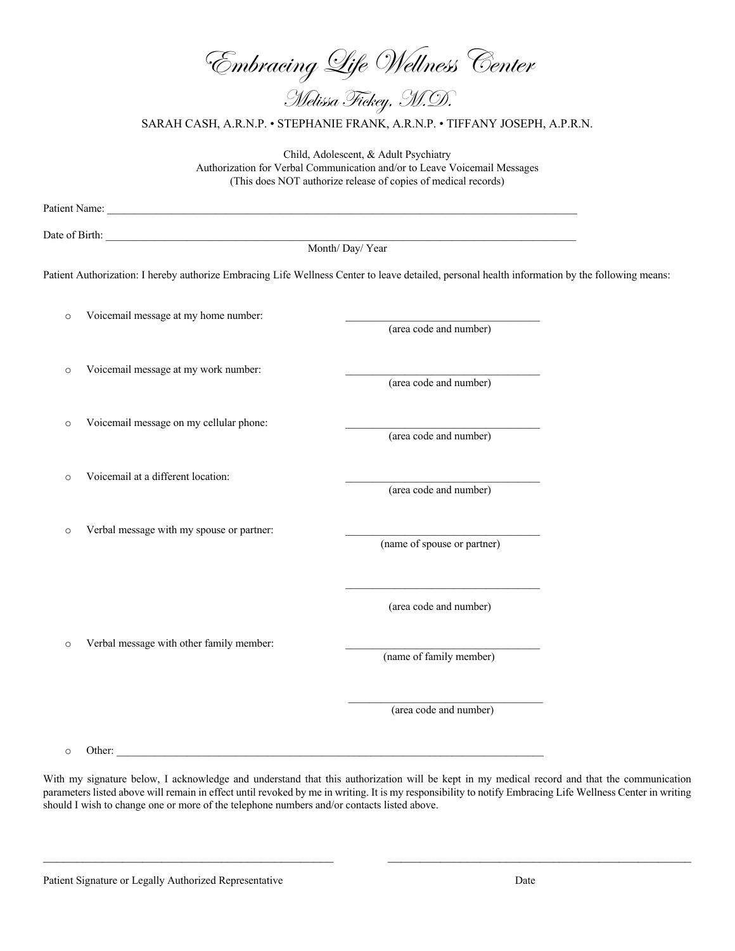| 'Embracing Life Wellness Center<br>Melissa Fickey, M.D.                                                                                                                              |                                                                                                                                                 |                             |  |  |  |
|--------------------------------------------------------------------------------------------------------------------------------------------------------------------------------------|-------------------------------------------------------------------------------------------------------------------------------------------------|-----------------------------|--|--|--|
| SARAH CASH, A.R.N.P. • STEPHANIE FRANK, A.R.N.P. • TIFFANY JOSEPH, A.P.R.N.                                                                                                          |                                                                                                                                                 |                             |  |  |  |
| Child, Adolescent, & Adult Psychiatry<br>Authorization for Verbal Communication and/or to Leave Voicemail Messages<br>(This does NOT authorize release of copies of medical records) |                                                                                                                                                 |                             |  |  |  |
|                                                                                                                                                                                      |                                                                                                                                                 |                             |  |  |  |
| Date of Birth: <u>Month/Day/Year</u>                                                                                                                                                 |                                                                                                                                                 |                             |  |  |  |
|                                                                                                                                                                                      |                                                                                                                                                 |                             |  |  |  |
|                                                                                                                                                                                      | Patient Authorization: I hereby authorize Embracing Life Wellness Center to leave detailed, personal health information by the following means: |                             |  |  |  |
| $\circ$                                                                                                                                                                              | Voicemail message at my home number:                                                                                                            | (area code and number)      |  |  |  |
| $\circ$                                                                                                                                                                              | Voicemail message at my work number:                                                                                                            | (area code and number)      |  |  |  |
| $\circ$                                                                                                                                                                              | Voicemail message on my cellular phone:                                                                                                         | (area code and number)      |  |  |  |
| $\circ$                                                                                                                                                                              | Voicemail at a different location:                                                                                                              | (area code and number)      |  |  |  |
| $\circ$                                                                                                                                                                              | Verbal message with my spouse or partner:                                                                                                       | (name of spouse or partner) |  |  |  |
| $\circ$                                                                                                                                                                              | Verbal message with other family member:                                                                                                        | (area code and number)      |  |  |  |
|                                                                                                                                                                                      |                                                                                                                                                 | (name of family member)     |  |  |  |
|                                                                                                                                                                                      |                                                                                                                                                 | (area code and number)      |  |  |  |

o Other: \_\_\_\_\_\_\_\_\_\_\_\_\_\_\_\_\_\_\_\_\_\_\_\_\_\_\_\_\_\_\_\_\_\_\_\_\_\_\_\_\_\_\_\_\_\_\_\_\_\_\_\_\_\_\_\_\_\_\_\_\_\_\_\_\_\_\_\_\_\_\_\_\_\_\_\_\_\_\_

With my signature below, I acknowledge and understand that this authorization will be kept in my medical record and that the communication parameters listed above will remain in effect until revoked by me in writing. It is my responsibility to notify Embracing Life Wellness Center in writing should I wish to change one or more of the telephone numbers and/or contacts listed above.

 $\_$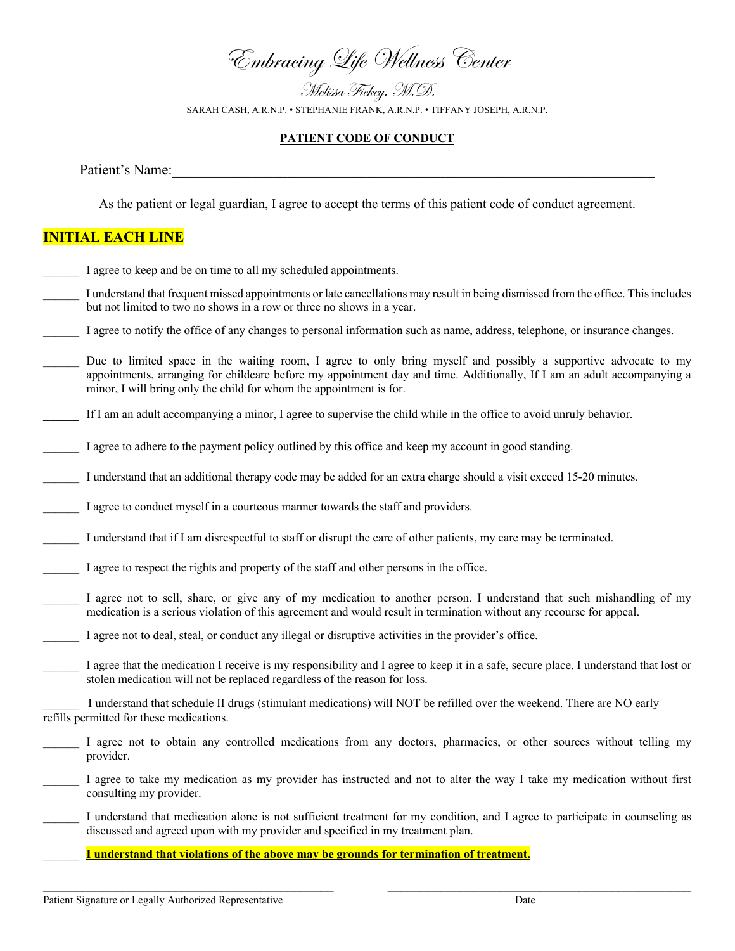Embracing Life Wellness Center

Melissa Fickey, M.D. SARAH CASH, A.R.N.P. • STEPHANIE FRANK, A.R.N.P. • TIFFANY JOSEPH, A.R.N.P.

#### **PATIENT CODE OF CONDUCT**

Patient's Name:

As the patient or legal guardian, I agree to accept the terms of this patient code of conduct agreement.

# **INITIAL EACH LINE**

- I agree to keep and be on time to all my scheduled appointments.
- I understand that frequent missed appointments or late cancellations may result in being dismissed from the office. This includes but not limited to two no shows in a row or three no shows in a year.
- I agree to notify the office of any changes to personal information such as name, address, telephone, or insurance changes.
- Due to limited space in the waiting room, I agree to only bring myself and possibly a supportive advocate to my appointments, arranging for childcare before my appointment day and time. Additionally, If I am an adult accompanying a minor, I will bring only the child for whom the appointment is for.
- If I am an adult accompanying a minor, I agree to supervise the child while in the office to avoid unruly behavior.
- I agree to adhere to the payment policy outlined by this office and keep my account in good standing.
- I understand that an additional therapy code may be added for an extra charge should a visit exceed 15-20 minutes.
- I agree to conduct myself in a courteous manner towards the staff and providers.
- I understand that if I am disrespectful to staff or disrupt the care of other patients, my care may be terminated.
- \_\_\_\_\_\_ I agree to respect the rights and property of the staff and other persons in the office.
- I agree not to sell, share, or give any of my medication to another person. I understand that such mishandling of my medication is a serious violation of this agreement and would result in termination without any recourse for appeal.
- I agree not to deal, steal, or conduct any illegal or disruptive activities in the provider's office.
- I agree that the medication I receive is my responsibility and I agree to keep it in a safe, secure place. I understand that lost or stolen medication will not be replaced regardless of the reason for loss.

\_\_\_\_\_\_ I understand that schedule II drugs (stimulant medications) will NOT be refilled over the weekend. There are NO early refills permitted for these medications.

- I agree not to obtain any controlled medications from any doctors, pharmacies, or other sources without telling my provider.
- \_\_\_\_\_\_ I agree to take my medication as my provider has instructed and not to alter the way I take my medication without first consulting my provider.
- I understand that medication alone is not sufficient treatment for my condition, and I agree to participate in counseling as discussed and agreed upon with my provider and specified in my treatment plan.
	- \_\_\_\_\_\_ **I understand that violations of the above may be grounds for termination of treatment.**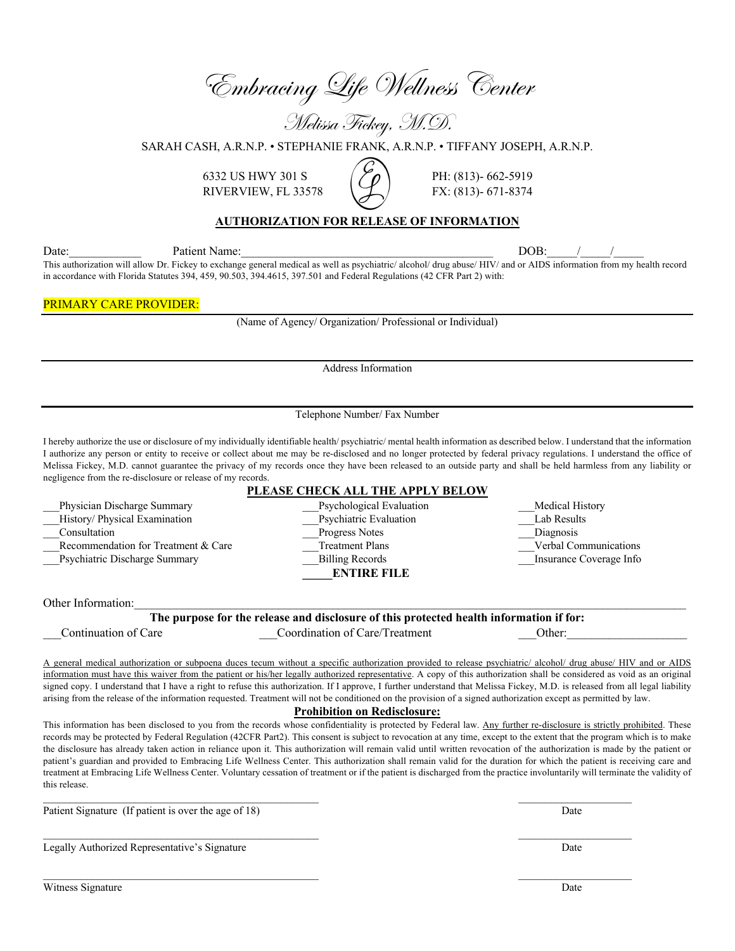Embracing Life Wellness Center

Melissa Fickey, M.D.

SARAH CASH, A.R.N.P. • STEPHANIE FRANK, A.R.N.P. • TIFFANY JOSEPH, A.R.N.P.

6332 US HWY 301 S  $\binom{8332}{\text{PH}}$ : (813)-662-5919 RIVERVIEW, FL 33578  $\bigcup$  FX: (813)- 671-8374

## **AUTHORIZATION FOR RELEASE OF INFORMATION**

Date: The Patient Name: The Patient Name: The Patient Name: The Patient Name: The Patient Name: The Patient Name: The Patient Name: The Patient Name: The Patient Name: The Patient Name: The Patient Name: The Patient Name: This authorization will allow Dr. Fickey to exchange general medical as well as psychiatric/ alcohol/ drug abuse/ HIV/ and or AIDS information from my health record in accordance with Florida Statutes 394, 459, 90.503, 394.4615, 397.501 and Federal Regulations (42 CFR Part 2) with:

#### PRIMARY CARE PROVIDER:

(Name of Agency/ Organization/ Professional or Individual)

Address Information

Telephone Number/ Fax Number

I hereby authorize the use or disclosure of my individually identifiable health/ psychiatric/ mental health information as described below. I understand that the information I authorize any person or entity to receive or collect about me may be re-disclosed and no longer protected by federal privacy regulations. I understand the office of Melissa Fickey, M.D. cannot guarantee the privacy of my records once they have been released to an outside party and shall be held harmless from any liability or negligence from the re-disclosure or release of my records. **PLEASE CHECK ALL THE APPLY BELOW**

| FLEASE CHECK ALL THE AFFLY BELOW                                                        |                                |                         |  |  |  |
|-----------------------------------------------------------------------------------------|--------------------------------|-------------------------|--|--|--|
| Physician Discharge Summary                                                             | Psychological Evaluation       | Medical History         |  |  |  |
| History/ Physical Examination                                                           | Psychiatric Evaluation         | Lab Results             |  |  |  |
| Consultation                                                                            | Progress Notes                 | Diagnosis               |  |  |  |
| Recommendation for Treatment & Care                                                     | <b>Treatment Plans</b>         | Verbal Communications   |  |  |  |
| Psychiatric Discharge Summary                                                           | <b>Billing Records</b>         | Insurance Coverage Info |  |  |  |
|                                                                                         | <b>ENTIRE FILE</b>             |                         |  |  |  |
|                                                                                         |                                |                         |  |  |  |
| Other Information:                                                                      |                                |                         |  |  |  |
| The purpose for the release and disclosure of this protected health information if for: |                                |                         |  |  |  |
| Continuation of Care                                                                    | Coordination of Care/Treatment | Other:                  |  |  |  |
|                                                                                         |                                |                         |  |  |  |

A general medical authorization or subpoena duces tecum without a specific authorization provided to release psychiatric/ alcohol/ drug abuse/ HIV and or AIDS information must have this waiver from the patient or his/her legally authorized representative. A copy of this authorization shall be considered as void as an original signed copy. I understand that I have a right to refuse this authorization. If I approve, I further understand that Melissa Fickey, M.D. is released from all legal liability arising from the release of the information requested. Treatment will not be conditioned on the provision of a signed authorization except as permitted by law.

**Prohibition on Redisclosure:**

This information has been disclosed to you from the records whose confidentiality is protected by Federal law. Any further re-disclosure is strictly prohibited. These records may be protected by Federal Regulation (42CFR Part2). This consent is subject to revocation at any time, except to the extent that the program which is to make the disclosure has already taken action in reliance upon it. This authorization will remain valid until written revocation of the authorization is made by the patient or patient's guardian and provided to Embracing Life Wellness Center. This authorization shall remain valid for the duration for which the patient is receiving care and treatment at Embracing Life Wellness Center. Voluntary cessation of treatment or if the patient is discharged from the practice involuntarily will terminate the validity of this release.

Patient Signature (If patient is over the age of 18) Date

Legally Authorized Representative's Signature Date

Witness Signature Date **Date** Date **Date** Date **Date** Date **Date** Date **Date** Date **Date** Date **Date** Date **Date Date**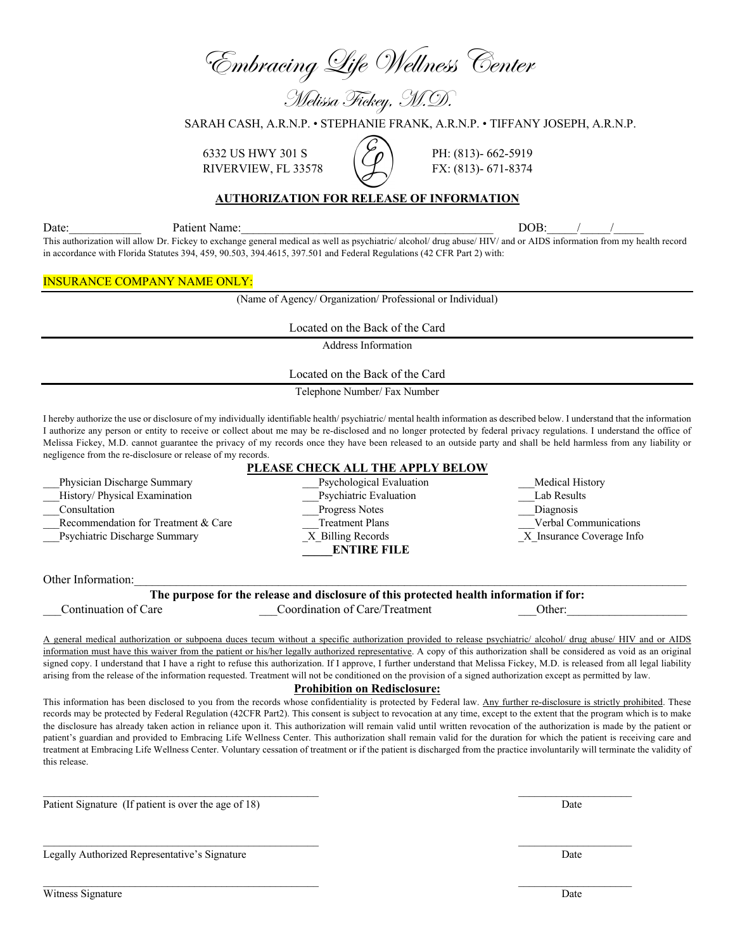Embracing Life Wellness Center

Melissa Fickey, M.D.

SARAH CASH, A.R.N.P. • STEPHANIE FRANK, A.R.N.P. • TIFFANY JOSEPH, A.R.N.P.

6332 US HWY 301 S  $(\frac{8}{3})$  PH: (813)- 662-5919 RIVERVIEW, FL 33578  $\sqrt{2}$  FX: (813)- 671-8374

## **AUTHORIZATION FOR RELEASE OF INFORMATION**

Date: The Patient Name: The Patient Name: The Patient Name: The Patient Name: The Patient Name: The Patient Name: The Patient Name: The Patient Name: The Patient Name: The Patient Name: The Patient Name: The Patient Name:

This authorization will allow Dr. Fickey to exchange general medical as well as psychiatric/ alcohol/ drug abuse/ HIV/ and or AIDS information from my health record in accordance with Florida Statutes 394, 459, 90.503, 394.4615, 397.501 and Federal Regulations (42 CFR Part 2) with:

#### INSURANCE COMPANY NAME ONLY:

(Name of Agency/ Organization/ Professional or Individual)

Located on the Back of the Card

Address Information

Located on the Back of the Card

Telephone Number/ Fax Number

I hereby authorize the use or disclosure of my individually identifiable health/ psychiatric/ mental health information as described below. I understand that the information I authorize any person or entity to receive or collect about me may be re-disclosed and no longer protected by federal privacy regulations. I understand the office of Melissa Fickey, M.D. cannot guarantee the privacy of my records once they have been released to an outside party and shall be held harmless from any liability or negligence from the re-disclosure or release of my records.

#### **PLEASE CHECK ALL THE APPLY BELOW**

Physician Discharge Summary example and the Psychological Evaluation and Medical History \_\_\_History/ Physical Examination \_\_\_Psychiatric Evaluation \_\_\_Lab Results \_\_\_Consultation \_\_\_Progress Notes \_\_\_Diagnosis Recommendation for Treatment & Care Treatment Plans Treatment Plans Verbal Communications Psychiatric Discharge Summary  $X$  Billing Records  $X$  Insurance Coverage Info **\_\_\_\_\_ENTIRE FILE**

Other Information:

**The purpose for the release and disclosure of this protected health information if for:**

 $\mathcal{L}_\text{max}$  , and the contribution of the contribution of the contribution of the contribution of the contribution of the contribution of the contribution of the contribution of the contribution of the contribution of t

 $\mathcal{L}_\text{max}$ 

\_\_\_Continuation of Care \_\_\_Coordination of Care/Treatment \_\_\_Other:\_\_\_\_\_\_\_\_\_\_\_\_\_\_\_\_\_\_\_\_

A general medical authorization or subpoena duces tecum without a specific authorization provided to release psychiatric/ alcohol/ drug abuse/ HIV and or AIDS information must have this waiver from the patient or his/her legally authorized representative. A copy of this authorization shall be considered as void as an original signed copy. I understand that I have a right to refuse this authorization. If I approve, I further understand that Melissa Fickey, M.D. is released from all legal liability arising from the release of the information requested. Treatment will not be conditioned on the provision of a signed authorization except as permitted by law.

#### **Prohibition on Redisclosure:**

This information has been disclosed to you from the records whose confidentiality is protected by Federal law. Any further re-disclosure is strictly prohibited. These records may be protected by Federal Regulation (42CFR Part2). This consent is subject to revocation at any time, except to the extent that the program which is to make the disclosure has already taken action in reliance upon it. This authorization will remain valid until written revocation of the authorization is made by the patient or patient's guardian and provided to Embracing Life Wellness Center. This authorization shall remain valid for the duration for which the patient is receiving care and treatment at Embracing Life Wellness Center. Voluntary cessation of treatment or if the patient is discharged from the practice involuntarily will terminate the validity of this release.

Patient Signature (If patient is over the age of 18) Date

Legally Authorized Representative's Signature Date

Witness Signature Date and the United States of the United States of the United States of Date Date